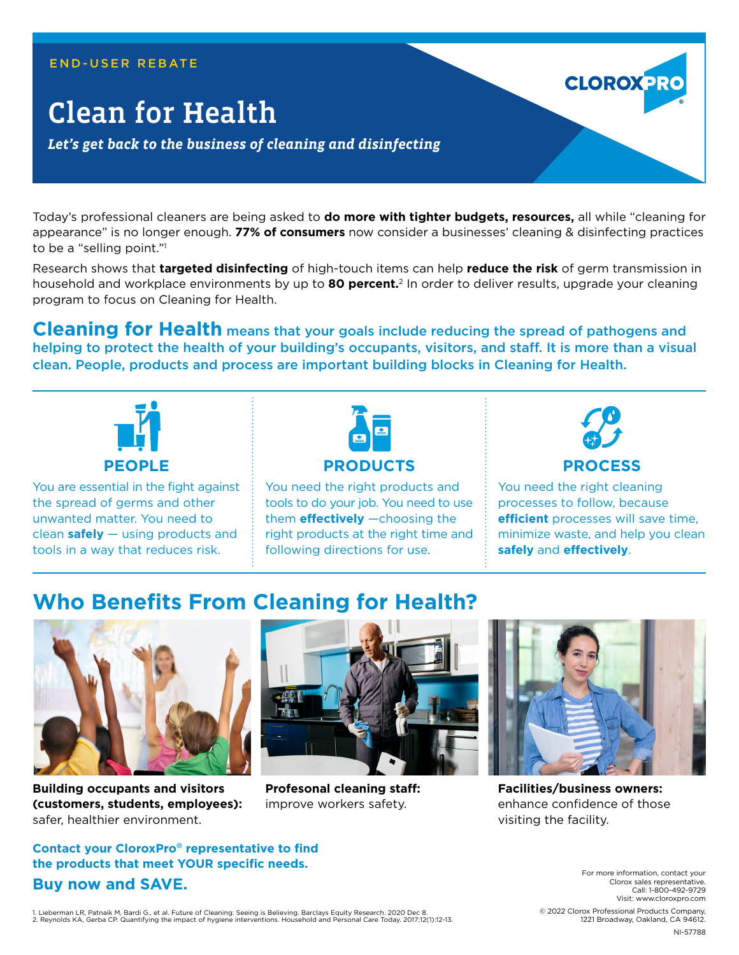#### END-USER REBATE

# Clean for Health

*Let's get back to the business of cleaning and disinfecting*

Today's professional cleaners are being asked to **do more with tighter budgets, resources,** all while "cleaning for appearance" is no longer enough. **77% of consumers** now consider a businesses' cleaning & disinfecting practices to be a "selling point."1

Research shows that **targeted disinfecting** of high-touch items can help **reduce the risk** of germ transmission in household and workplace environments by up to **80 percent.**2 In order to deliver results, upgrade your cleaning program to focus on Cleaning for Health.

**Cleaning for Health** means that your goals include reducing the spread of pathogens and helping to protect the health of your building's occupants, visitors, and staff. It is more than a visual clean. People, products and process are important building blocks in Cleaning for Health.



You are essential in the fight against the spread of germs and other unwanted matter. You need to clean **safely** — using products and tools in a way that reduces risk.



You need the right products and tools to do your job. You need to use them **effectively** —choosing the right products at the right time and following directions for use.



**CLOROX PR** 

### **PROCESS**

You need the right cleaning processes to follow, because **efficient** processes will save time, minimize waste, and help you clean **safely** and **effectively**.

## **Who Benefits From Cleaning for Health?**



**Building occupants and visitors (customers, students, employees):** safer, healthier environment.

**Contact your CloroxPro**® **representative to find the products that meet YOUR specific needs.**



**Profesonal cleaning staff:** improve workers safety.



**Facilities/business owners:** enhance confidence of those visiting the facility.

For more information, contact your Clorox sales representative. Call: 1-800-492-9729 Visit: www.cloroxpro.com

**Buy now and SAVE.**

 © 2022 Clorox Professional Products Company, 1221 Broadway, Oakland, CA 94612.

NI-57788